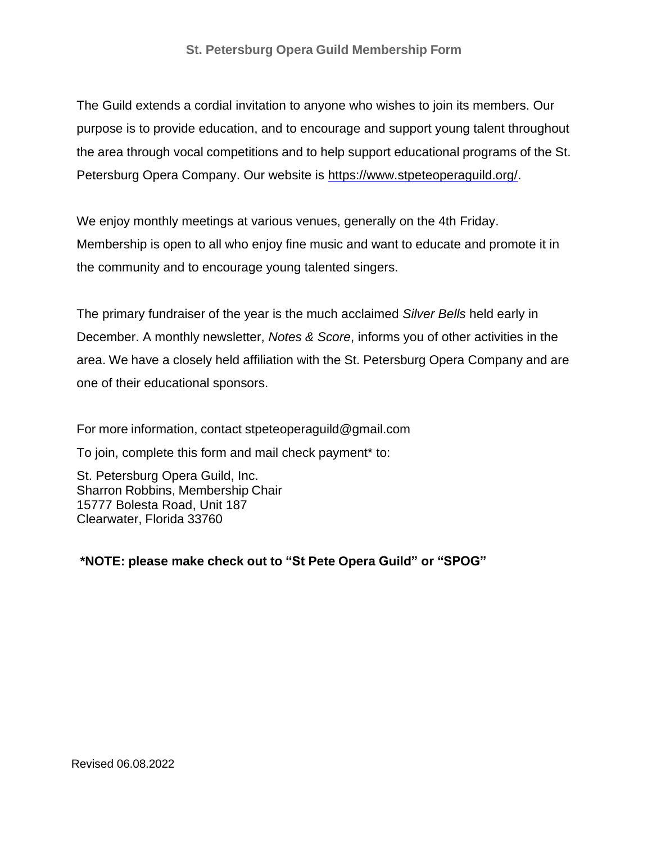The Guild extends a cordial invitation to anyone who wishes to join its members. Our purpose is to provide education, and to encourage and support young talent throughout the area through vocal competitions and to help support educational programs of the St. Petersburg Opera Company. Our website is [https://www.stpeteoperaguild.org/.](https://www.stpeteoperaguild.org/)

We enjoy monthly meetings at various venues, generally on the 4th Friday. Membership is open to all who enjoy fine music and want to educate and promote it in the community and to encourage young talented singers.

The primary fundraiser of the year is the much acclaimed *Silver Bells* held early in December. A monthly newsletter, *Notes & Score*, informs you of other activities in the area. We have a closely held affiliation with the St. Petersburg Opera Company and are one of their educational sponsors.

For more information, contact [stpeteoperaguild@gmail.com](mailto:stpeteoperaguild@gmail.com)

To join, complete this form and mail check payment\* to:

St. Petersburg Opera Guild, Inc. Sharron Robbins, Membership Chair 15777 Bolesta Road, Unit 187 Clearwater, Florida 33760

**\*NOTE: please make check out to "St Pete Opera Guild" or "SPOG"**